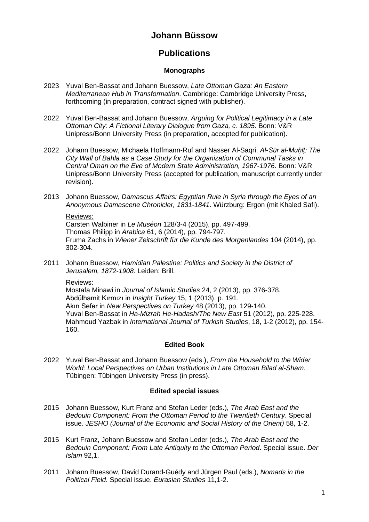# **Johann Büssow**

# **Publications**

## **Monographs**

- 2023 Yuval Ben-Bassat and Johann Buessow, *Late Ottoman Gaza: An Eastern Mediterranean Hub in Transformation*. Cambridge: Cambridge University Press, forthcoming (in preparation, contract signed with publisher).
- 2022 Yuval Ben-Bassat and Johann Buessow, *Arguing for Political Legitimacy in a Late Ottoman City: A Fictional Literary Dialogue from Gaza, c. 1895*. Bonn: V&R Unipress/Bonn University Press (in preparation, accepted for publication).
- 2022 Johann Buessow, Michaela Hoffmann-Ruf and Nasser Al-Saqri, *Al-Sūr al-Muḥīṭ: The City Wall of Bahla as a Case Study for the Organization of Communal Tasks in Central Oman on the Eve of Modern State Administration, 1967-1976*. Bonn: V&R Unipress/Bonn University Press (accepted for publication, manuscript currently under revision).
- 2013 Johann Buessow, *Damascus Affairs: Egyptian Rule in Syria through the Eyes of an Anonymous Damascene Chronicler, 1831-1841*. Würzburg: Ergon (mit Khaled Safi).

Reviews: Carsten Walbiner in *Le Muséon* 128/3-4 (2015), pp. 497-499. Thomas Philipp in *Arabica* 61, 6 (2014), pp. 794-797. Fruma Zachs in *Wiener Zeitschrift für die Kunde des Morgenlandes* 104 (2014), pp. 302-304.

2011 Johann Buessow, *Hamidian Palestine: Politics and Society in the District of Jerusalem, 1872-1908*. Leiden: Brill.

### Reviews:

Mostafa Minawi in *Journal of Islamic Studies* 24, 2 (2013), pp. 376-378. Abdülhamit Kırmızı in *Insight Turkey* 15, 1 (2013), p. 191. Akın Sefer in *New Perspectives on Turkey* 48 (2013), pp. 129-140. Yuval Ben-Bassat in *Ha-Mizrah He-Hadash/The New East* 51 (2012), pp. 225-228. Mahmoud Yazbak in *International Journal of Turkish Studies*, 18, 1-2 (2012), pp. 154- 160.

## **Edited Book**

2022 Yuval Ben-Bassat and Johann Buessow (eds.), *From the Household to the Wider World: Local Perspectives on Urban Institutions in Late Ottoman Bilad al-Sham.*  Tübingen: Tübingen University Press (in press).

## **Edited special issues**

- 2015 Johann Buessow, Kurt Franz and Stefan Leder (eds.), *The Arab East and the Bedouin Component: From the Ottoman Period to the Twentieth Century*. Special issue. JESHO (Journal of the Economic and Social History of the Orient) 58, 1-2.
- 2015 Kurt Franz, Johann Buessow and Stefan Leder (eds.), *The Arab East and the Bedouin Component: From Late Antiquity to the Ottoman Period*. Special issue. *Der Islam* 92,1.
- 2011 Johann Buessow, David Durand-Guédy and Jürgen Paul (eds.), *Nomads in the Political Field*. Special issue. *Eurasian Studies* 11,1-2.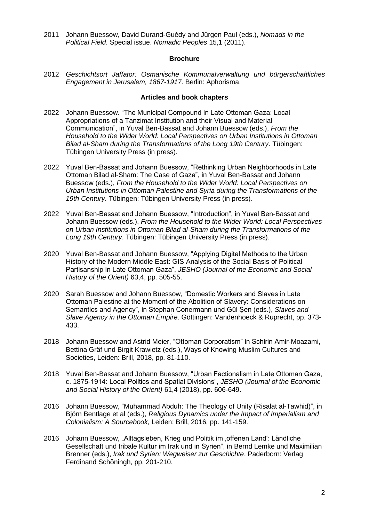2011 Johann Buessow, David Durand-Guédy and Jürgen Paul (eds.), *Nomads in the Political Field*. Special issue. *Nomadic Peoples* 15,1 (2011).

#### **Brochure**

2012 *Geschichtsort Jaffator: Osmanische Kommunalverwaltung und bürgerschaftliches Engagement in Jerusalem, 1867-1917*. Berlin: Aphorisma.

#### **Articles and book chapters**

- 2022 Johann Buessow. "The Municipal Compound in Late Ottoman Gaza: Local Appropriations of a Tanzimat Institution and their Visual and Material Communication", in Yuval Ben-Bassat and Johann Buessow (eds.), *From the Household to the Wider World: Local Perspectives on Urban Institutions in Ottoman Bilad al-Sham during the Transformations of the Long 19th Century*. Tübingen: Tübingen University Press (in press).
- 2022 Yuval Ben-Bassat and Johann Buessow, "Rethinking Urban Neighborhoods in Late Ottoman Bilad al-Sham: The Case of Gaza", in Yuval Ben-Bassat and Johann Buessow (eds.), *From the Household to the Wider World: Local Perspectives on Urban Institutions in Ottoman Palestine and Syria during the Transformations of the 19th Century*. Tübingen: Tübingen University Press (in press).
- 2022 Yuval Ben-Bassat and Johann Buessow, "Introduction", in Yuval Ben-Bassat and Johann Buessow (eds.), *From the Household to the Wider World: Local Perspectives on Urban Institutions in Ottoman Bilad al-Sham during the Transformations of the Long 19th Century*. Tübingen: Tübingen University Press (in press).
- 2020 Yuval Ben-Bassat and Johann Buessow, "Applying Digital Methods to the Urban History of the Modern Middle East: GIS Analysis of the Social Basis of Political Partisanship in Late Ottoman Gaza", *JESHO (Journal of the Economic and Social History of the Orient)* 63,4, pp. 505-55.
- 2020 Sarah Buessow and Johann Buessow, "Domestic Workers and Slaves in Late Ottoman Palestine at the Moment of the Abolition of Slavery: Considerations on Semantics and Agency", in Stephan Conermann und Gül Şen (eds.), *Slaves and Slave Agency in the Ottoman Empire*. Göttingen: Vandenhoeck & Ruprecht, pp. 373- 433.
- 2018 Johann Buessow and Astrid Meier, "Ottoman Corporatism" in Schirin Amir-Moazami, Bettina Gräf und Birgit Krawietz (eds.), Ways of Knowing Muslim Cultures and Societies, Leiden: Brill, 2018, pp. 81-110.
- 2018 Yuval Ben-Bassat and Johann Buessow, "Urban Factionalism in Late Ottoman Gaza, c. 1875-1914: Local Politics and Spatial Divisions", *JESHO (Journal of the Economic and Social History of the Orient)* 61,4 (2018), pp. 606-649.
- 2016 Johann Buessow, "Muhammad Abduh: The Theology of Unity (Risalat al-Tawhid)", in Björn Bentlage et al (eds.), *Religious Dynamics under the Impact of Imperialism and Colonialism: A Sourcebook*, Leiden: Brill, 2016, pp. 141-159.
- 2016 Johann Buessow, "Alltagsleben, Krieg und Politik im 'offenen Land': Ländliche Gesellschaft und tribale Kultur im Irak und in Syrien", in Bernd Lemke und Maximilian Brenner (eds.), *Irak und Syrien: Wegweiser zur Geschichte*, Paderborn: Verlag Ferdinand Schöningh, pp. 201-210.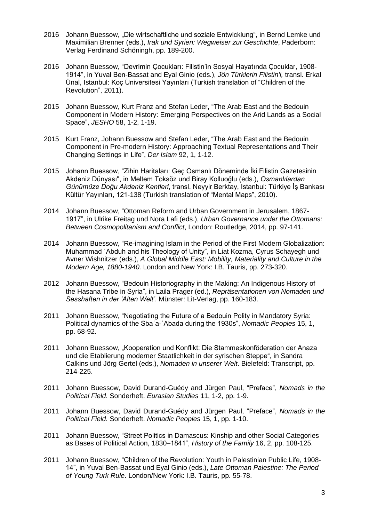- 2016 Johann Buessow, "Die wirtschaftliche und soziale Entwicklung", in Bernd Lemke und Maximilian Brenner (eds.), *Irak und Syrien: Wegweiser zur Geschichte*, Paderborn: Verlag Ferdinand Schöningh, pp. 189-200.
- 2016 Johann Buessow, "Devrimin Çocukları: Filistin'in Sosyal Hayatında Çocuklar, 1908- 1914", in Yuval Ben-Bassat and Eyal Ginio (eds.), *Jön Türklerin Filistin'i,* transl. Erkal Ünal, Istanbul: Koç Üniversitesi Yayınları (Turkish translation of "Children of the Revolution", 2011).
- 2015 Johann Buessow, Kurt Franz and Stefan Leder, "The Arab East and the Bedouin Component in Modern History: Emerging Perspectives on the Arid Lands as a Social Space", *JESHO* 58, 1-2, 1-19.
- 2015 Kurt Franz, Johann Buessow and Stefan Leder, "The Arab East and the Bedouin Component in Pre-modern History: Approaching Textual Representations and Their Changing Settings in Life", *Der Islam* 92, 1, 1-12.
- 2015 Johann Buessow, "Zihin Haritaları: Geç Osmanlı Döneminde İki Filistin Gazetesinin Akdeniz Dünyası", in Meltem Toksöz und Biray Kolluoğlu (eds.), *Osmanlılardan Günümüze Doğu Akdeniz Kentleri*, transl. Neyyir Berktay, Istanbul: Türkiye İş Bankası Kültür Yayınları, 121-138 (Turkish translation of "Mental Maps", 2010).
- 2014 Johann Buessow, "Ottoman Reform and Urban Government in Jerusalem, 1867- 1917", in Ulrike Freitag und Nora Lafi (eds.), *Urban Governance under the Ottomans: Between Cosmopolitanism and Conflict*, London: Routledge, 2014, pp. 97-141.
- 2014 Johann Buessow, "Re-imagining Islam in the Period of the First Modern Globalization: Muhammad ʿAbduh and his Theology of Unity", in Liat Kozma, Cyrus Schayegh und Avner Wishnitzer (eds.), *A Global Middle East: Mobility, Materiality and Culture in the Modern Age, 1880-1940*. London and New York: I.B. Tauris, pp. 273-320.
- 2012 Johann Buessow, "Bedouin Historiography in the Making: An Indigenous History of the Hasana Tribe in Syria", in Laila Prager (ed.), *Repräsentationen von Nomaden und Sesshaften in der 'Alten Welt'*. Münster: Lit-Verlag, pp. 160-183.
- 2011 Johann Buessow, "Negotiating the Future of a Bedouin Polity in Mandatory Syria: Political dynamics of the Sbaʿa-ʿAbada during the 1930s", *Nomadic Peoples* 15, 1, pp. 68-92.
- 2011 Johann Buessow, "Kooperation und Konflikt: Die Stammeskonföderation der Anaza und die Etablierung moderner Staatlichkeit in der syrischen Steppe", in Sandra Calkins und Jörg Gertel (eds.), *Nomaden in unserer Welt*. Bielefeld: Transcript, pp. 214-225.
- 2011 Johann Buessow, David Durand-Guédy and Jürgen Paul, "Preface", *Nomads in the Political Field*. Sonderheft. *Eurasian Studies* 11, 1-2, pp. 1-9.
- 2011 Johann Buessow, David Durand-Guédy and Jürgen Paul, "Preface", *Nomads in the Political Field*. Sonderheft. *Nomadic Peoples* 15, 1, pp. 1-10.
- 2011 Johann Buessow, "Street Politics in Damascus: Kinship and other Social Categories as Bases of Political Action, 1830–1841", *History of the Family* 16, 2, pp. 108-125.
- 2011 Johann Buessow, "Children of the Revolution: Youth in Palestinian Public Life, 1908- 14", in Yuval Ben-Bassat und Eyal Ginio (eds.), *Late Ottoman Palestine: The Period of Young Turk Rule*. London/New York: I.B. Tauris, pp. 55-78.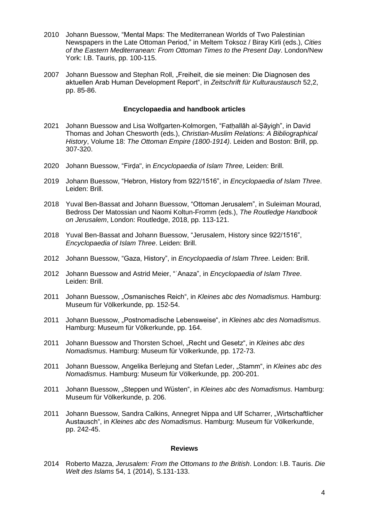- 2010 Johann Buessow, "Mental Maps: The Mediterranean Worlds of Two Palestinian Newspapers in the Late Ottoman Period," in Meltem Toksoz / Biray Kirli (eds.), *Cities of the Eastern Mediterranean: From Ottoman Times to the Present Day*. London/New York: I.B. Tauris, pp. 100-115.
- 2007 Johann Buessow and Stephan Roll, "Freiheit, die sie meinen: Die Diagnosen des aktuellen Arab Human Development Report", in *Zeitschrift für Kulturaustausch* 52,2, pp. 85-86.

#### **Encyclopaedia and handbook articles**

- 2021 Johann Buessow and Lisa Wolfgarten-Kolmorgen, "Fatḥallāh al-Ṣāyigh", in David Thomas and Johan Chesworth (eds.), *Christian-Muslim Relations: A Bibliographical History*, Volume 18: *The Ottoman Empire (1800-1914)*. Leiden and Boston: Brill, pp. 307-320.
- 2020 Johann Buessow, "Firḍa", in *Encyclopaedia of Islam Three,* Leiden: Brill.
- 2019 Johann Buessow, "Hebron, History from 922/1516", in *Encyclopaedia of Islam Three*. Leiden: Brill.
- 2018 Yuval Ben-Bassat and Johann Buessow, "Ottoman Jerusalem", in Suleiman Mourad, Bedross Der Matossian und Naomi Koltun-Fromm (eds.), *The Routledge Handbook on Jerusalem*, London: Routledge, 2018, pp. 113-121.
- 2018 Yuval Ben-Bassat and Johann Buessow, "Jerusalem, History since 922/1516", *Encyclopaedia of Islam Three*. Leiden: Brill.
- 2012 Johann Buessow, "Gaza, History", in *Encyclopaedia of Islam Three*. Leiden: Brill.
- 2012 Johann Buessow and Astrid Meier, "ʿAnaza", in *Encyclopaedia of Islam Three*. Leiden: Brill.
- 2011 Johann Buessow, "Osmanisches Reich", in *Kleines abc des Nomadismus*. Hamburg: Museum für Völkerkunde, pp. 152-54.
- 2011 Johann Buessow, "Postnomadische Lebensweise", in *Kleines abc des Nomadismus*. Hamburg: Museum für Völkerkunde, pp. 164.
- 2011 Johann Buessow and Thorsten Schoel, "Recht und Gesetz", in *Kleines abc des Nomadismus*. Hamburg: Museum für Völkerkunde, pp. 172-73.
- 2011 Johann Buessow, Angelika Berlejung and Stefan Leder, "Stamm", in *Kleines abc des Nomadismus*. Hamburg: Museum für Völkerkunde, pp. 200-201.
- 2011 Johann Buessow, "Steppen und Wüsten", in *Kleines abc des Nomadismus*. Hamburg: Museum für Völkerkunde, p. 206.
- 2011 Johann Buessow, Sandra Calkins, Annegret Nippa and Ulf Scharrer, "Wirtschaftlicher Austausch", in *Kleines abc des Nomadismus*. Hamburg: Museum für Völkerkunde, pp. 242-45.

#### **Reviews**

2014 Roberto Mazza, *Jerusalem: From the Ottomans to the British*. London: I.B. Tauris. *Die Welt des Islams* 54, 1 (2014), S.131-133.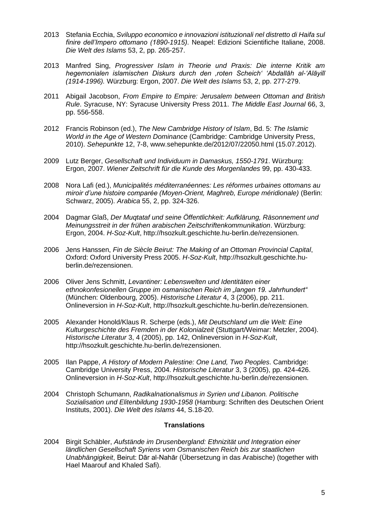- 2013 Stefania Ecchia, *Sviluppo economico e innovazioni istituzionali nel distretto di Haifa sul finire dell'Impero ottomano (1890-1915)*. Neapel: Edizioni Scientifiche Italiane, 2008. *Die Welt des Islams* 53, 2, pp. 265-257.
- 2013 Manfred Sing, *Progressiver Islam in Theorie und Praxis: Die interne Kritik am hegemonialen islamischen Diskurs durch den 'roten Scheich' 'Abdallāh al-'Alāyilī (1914-1996).* Würzburg: Ergon, 2007. *Die Welt des Islams* 53, 2, pp. 277-279.
- 2011 Abigail Jacobson, *From Empire to Empire: Jerusalem between Ottoman and British Rule*. Syracuse, NY: Syracuse University Press 2011. *The Middle East Journal* 66, 3, pp. 556-558.
- 2012 Francis Robinson (ed.), *The New Cambridge History of Islam*, Bd. 5: *The Islamic World in the Age of Western Dominance* (Cambridge: Cambridge University Press, 2010). *Sehepunkte* 12, 7-8, www.sehepunkte.de/2012/07/22050.html (15.07.2012).
- 2009 Lutz Berger, *Gesellschaft und Individuum in Damaskus, 1550-1791*. Würzburg: Ergon, 2007. *Wiener Zeitschrift für die Kunde des Morgenlandes* 99, pp. 430-433.
- 2008 Nora Lafi (ed.), *Municipalités méditerranéennes: Les réformes urbaines ottomans au miroir d'une histoire comparée (Moyen-Orient, Maghreb, Europe méridionale)* (Berlin: Schwarz, 2005). *Arabica* 55, 2, pp. 324-326.
- 2004 Dagmar Glaß, *Der Muqtataf und seine Öffentlichkeit: Aufklärung, Räsonnement und Meinungsstreit in der frühen arabischen Zeitschriftenkommunikation*. Würzburg: Ergon, 2004. *H-Soz-Kult*, http://hsozkult.geschichte.hu-berlin.de/rezensionen.
- 2006 Jens Hanssen, *Fin de Siècle Beirut: The Making of an Ottoman Provincial Capital*, Oxford: Oxford University Press 2005. *H-Soz-Kult*, http://hsozkult.geschichte.huberlin.de/rezensionen.
- 2006 Oliver Jens Schmitt, *Levantiner: Lebenswelten und Identitäten einer ethnokonfesionellen Gruppe im osmanischen Reich im "langen 19. Jahrhundert"* (München: Oldenbourg, 2005). *Historische Literatur* 4, 3 (2006), pp. 211. Onlineversion in *H-Soz-Kult*, http://hsozkult.geschichte.hu-berlin.de/rezensionen.
- 2005 Alexander Honold/Klaus R. Scherpe (eds.), *Mit Deutschland um die Welt: Eine Kulturgeschichte des Fremden in der Kolonialzeit* (Stuttgart/Weimar: Metzler, 2004). *Historische Literatur* 3, 4 (2005), pp. 142, Onlineversion in *H-Soz-Kult*, http://hsozkult.geschichte.hu-berlin.de/rezensionen.
- 2005 Ilan Pappe, *A History of Modern Palestine: One Land, Two Peoples*. Cambridge: Cambridge University Press, 2004. *Historische Literatur* 3, 3 (2005), pp. 424-426. Onlineversion in *H-Soz-Kult*, http://hsozkult.geschichte.hu-berlin.de/rezensionen.
- 2004 Christoph Schumann, *Radikalnationalismus in Syrien und Libanon. Politische Sozialisation und Elitenbildung 1930-1958* (Hamburg: Schriften des Deutschen Orient Instituts, 2001). *Die Welt des Islams* 44, S.18-20.

#### **Translations**

2004 Birgit Schäbler, *Aufstände im Drusenbergland: Ethnizität und Integration einer ländlichen Gesellschaft Syriens vom Osmanischen Reich bis zur staatlichen Unabhängigkeit*, Beirut: Dār al-Nahār (Übersetzung in das Arabische) (together with Hael Maarouf and Khaled Safi).